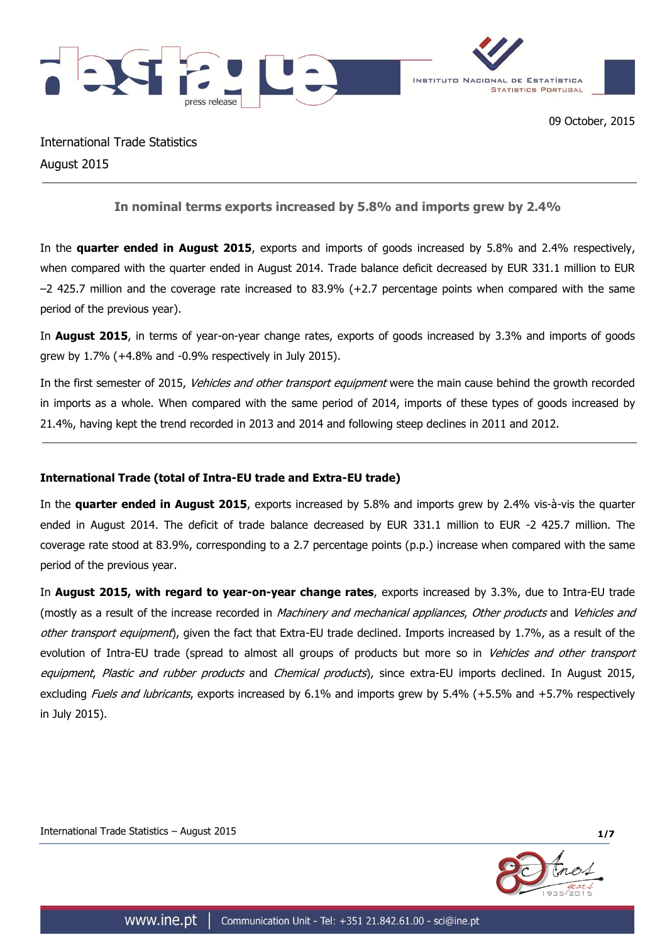



International Trade Statistics August 2015

**In nominal terms exports increased by 5.8% and imports grew by 2.4%**

In the **quarter ended in August 2015**, exports and imports of goods increased by 5.8% and 2.4% respectively, when compared with the quarter ended in August 2014. Trade balance deficit decreased by EUR 331.1 million to EUR –2 425.7 million and the coverage rate increased to 83.9% (+2.7 percentage points when compared with the same period of the previous year).

In **August 2015**, in terms of year-on-year change rates, exports of goods increased by 3.3% and imports of goods grew by 1.7% (+4.8% and -0.9% respectively in July 2015).

In the first semester of 2015, Vehicles and other transport equipment were the main cause behind the growth recorded in imports as a whole. When compared with the same period of 2014, imports of these types of goods increased by 21.4%, having kept the trend recorded in 2013 and 2014 and following steep declines in 2011 and 2012.

# **International Trade (total of Intra-EU trade and Extra-EU trade)**

In the **quarter ended in August 2015**, exports increased by 5.8% and imports grew by 2.4% vis-à-vis the quarter ended in August 2014. The deficit of trade balance decreased by EUR 331.1 million to EUR -2 425.7 million. The coverage rate stood at 83.9%, corresponding to a 2.7 percentage points (p.p.) increase when compared with the same period of the previous year.

In **August 2015, with regard to year-on-year change rates**, exports increased by 3.3%, due to Intra-EU trade (mostly as a result of the increase recorded in *Machinery and mechanical appliances, Other products* and *Vehicles and* other transport equipment), given the fact that Extra-EU trade declined. Imports increased by 1.7%, as a result of the evolution of Intra-EU trade (spread to almost all groups of products but more so in Vehicles and other transport equipment, Plastic and rubber products and Chemical products), since extra-EU imports declined. In August 2015, excluding *Fuels and lubricants*, exports increased by 6.1% and imports grew by 5.4% (+5.5% and +5.7% respectively in July 2015).

International Trade Statistics – August 2015 **1/7**

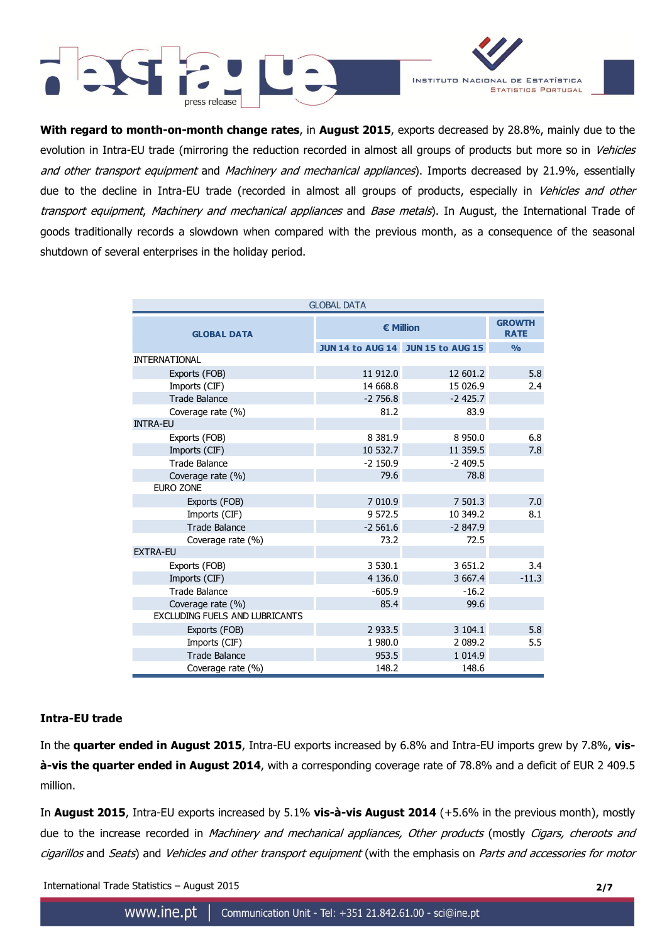



**With regard to month-on-month change rates**, in **August 2015**, exports decreased by 28.8%, mainly due to the evolution in Intra-EU trade (mirroring the reduction recorded in almost all groups of products but more so in Vehicles and other transport equipment and Machinery and mechanical appliances). Imports decreased by 21.9%, essentially due to the decline in Intra-EU trade (recorded in almost all groups of products, especially in *Vehicles and other* transport equipment, Machinery and mechanical appliances and Base metals). In August, the International Trade of goods traditionally records a slowdown when compared with the previous month, as a consequence of the seasonal shutdown of several enterprises in the holiday period.

| <b>GLOBAL DATA</b>                    |            |                                   |               |  |  |  |  |
|---------------------------------------|------------|-----------------------------------|---------------|--|--|--|--|
| <b>GLOBAL DATA</b>                    | € Million  | <b>GROWTH</b><br><b>RATE</b>      |               |  |  |  |  |
|                                       |            | JUN 14 to AUG 14 JUN 15 to AUG 15 | $\frac{0}{0}$ |  |  |  |  |
| <b>INTERNATIONAL</b>                  |            |                                   |               |  |  |  |  |
| Exports (FOB)                         | 11 912.0   | 12 601.2                          | 5.8           |  |  |  |  |
| Imports (CIF)                         | 14 668.8   | 15 026.9                          | 2.4           |  |  |  |  |
| <b>Trade Balance</b>                  | $-2756.8$  | $-2$ 425.7                        |               |  |  |  |  |
| Coverage rate (%)                     | 81.2       | 83.9                              |               |  |  |  |  |
| <b>INTRA-EU</b>                       |            |                                   |               |  |  |  |  |
| Exports (FOB)                         | 8 3 8 1.9  | 8 9 5 0.0                         | 6.8           |  |  |  |  |
| Imports (CIF)                         | 10 532.7   | 11 359.5                          | 7.8           |  |  |  |  |
| <b>Trade Balance</b>                  | $-2$ 150.9 | $-2409.5$                         |               |  |  |  |  |
| Coverage rate (%)                     | 79.6       | 78.8                              |               |  |  |  |  |
| <b>EURO ZONE</b>                      |            |                                   |               |  |  |  |  |
| Exports (FOB)                         | 7 010.9    | 7 501.3                           | 7.0           |  |  |  |  |
| Imports (CIF)                         | 9 572.5    | 10 349.2                          | 8.1           |  |  |  |  |
| <b>Trade Balance</b>                  | $-2561.6$  | $-2847.9$                         |               |  |  |  |  |
| Coverage rate (%)                     | 73.2       | 72.5                              |               |  |  |  |  |
| <b>EXTRA-EU</b>                       |            |                                   |               |  |  |  |  |
| Exports (FOB)                         | 3 530.1    | 3 651.2                           | 3.4           |  |  |  |  |
| Imports (CIF)                         | 4 136.0    | 3 667.4                           | $-11.3$       |  |  |  |  |
| <b>Trade Balance</b>                  | $-605.9$   | $-16.2$                           |               |  |  |  |  |
| Coverage rate (%)                     | 85.4       | 99.6                              |               |  |  |  |  |
| <b>EXCLUDING FUELS AND LUBRICANTS</b> |            |                                   |               |  |  |  |  |
| Exports (FOB)                         | 2 9 3 3.5  | 3 104.1                           | 5.8           |  |  |  |  |
| Imports (CIF)                         | 1 980.0    | 2 089.2                           | 5.5           |  |  |  |  |
| <b>Trade Balance</b>                  | 953.5      | 1 0 1 4 .9                        |               |  |  |  |  |
| Coverage rate (%)                     | 148.2      | 148.6                             |               |  |  |  |  |

## **Intra-EU trade**

In the **quarter ended in August 2015**, Intra-EU exports increased by 6.8% and Intra-EU imports grew by 7.8%, **visà-vis the quarter ended in August 2014**, with a corresponding coverage rate of 78.8% and a deficit of EUR 2 409.5 million.

In **August 2015**, Intra-EU exports increased by 5.1% **vis-à-vis August 2014** (+5.6% in the previous month), mostly due to the increase recorded in Machinery and mechanical appliances, Other products (mostly Cigars, cheroots and cigarillos and Seats) and Vehicles and other transport equipment (with the emphasis on Parts and accessories for motor

International Trade Statistics – August 2015 **2/7**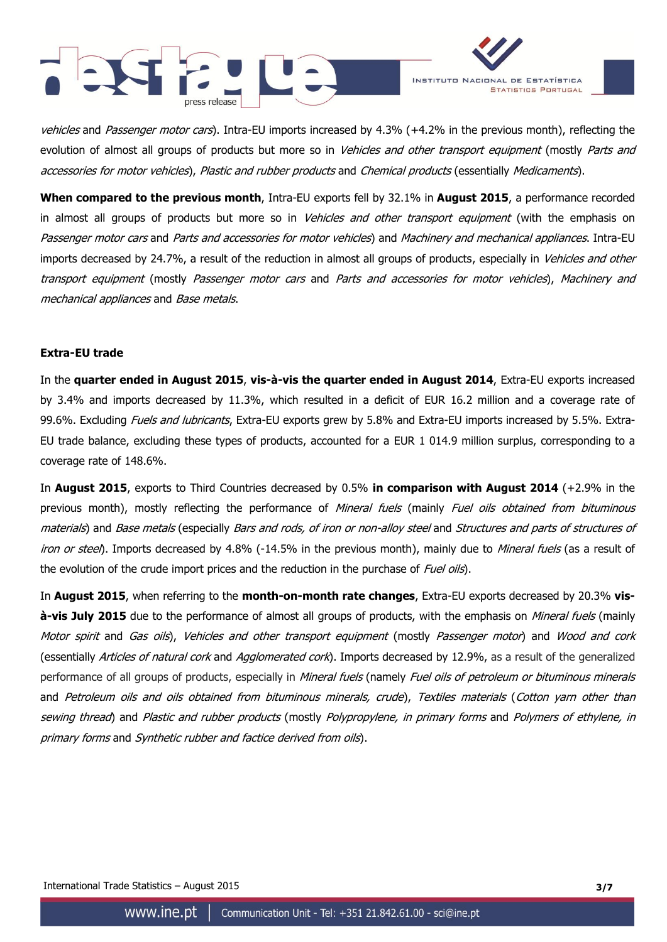



vehicles and Passenger motor cars). Intra-EU imports increased by 4.3% (+4.2% in the previous month), reflecting the evolution of almost all groups of products but more so in *Vehicles and other transport equipment* (mostly *Parts and* accessories for motor vehicles), Plastic and rubber products and Chemical products (essentially Medicaments).

**When compared to the previous month**, Intra-EU exports fell by 32.1% in **August 2015**, a performance recorded in almost all groups of products but more so in Vehicles and other transport equipment (with the emphasis on Passenger motor cars and Parts and accessories for motor vehicles) and Machinery and mechanical appliances. Intra-EU imports decreased by 24.7%, a result of the reduction in almost all groups of products, especially in Vehicles and other transport equipment (mostly Passenger motor cars and Parts and accessories for motor vehicles), Machinery and mechanical appliances and Base metals.

### **Extra-EU trade**

In the **quarter ended in August 2015**, **vis-à-vis the quarter ended in August 2014**, Extra-EU exports increased by 3.4% and imports decreased by 11.3%, which resulted in a deficit of EUR 16.2 million and a coverage rate of 99.6%. Excluding *Fuels and lubricants*, Extra-EU exports grew by 5.8% and Extra-EU imports increased by 5.5%. Extra-EU trade balance, excluding these types of products, accounted for a EUR 1 014.9 million surplus, corresponding to a coverage rate of 148.6%.

In **August 2015**, exports to Third Countries decreased by 0.5% **in comparison with August 2014** (+2.9% in the previous month), mostly reflecting the performance of Mineral fuels (mainly Fuel oils obtained from bituminous materials) and Base metals (especially Bars and rods, of iron or non-alloy steel and Structures and parts of structures of iron or steel). Imports decreased by 4.8% (-14.5% in the previous month), mainly due to *Mineral fuels* (as a result of the evolution of the crude import prices and the reduction in the purchase of *Fuel oils*).

In **August 2015**, when referring to the **month-on-month rate changes**, Extra-EU exports decreased by 20.3% **visà-vis July 2015** due to the performance of almost all groups of products, with the emphasis on *Mineral fuels* (mainly Motor spirit and Gas oils), Vehicles and other transport equipment (mostly Passenger motor) and Wood and cork (essentially Articles of natural cork and Agglomerated cork). Imports decreased by 12.9%, as a result of the generalized performance of all groups of products, especially in Mineral fuels (namely Fuel oils of petroleum or bituminous minerals and Petroleum oils and oils obtained from bituminous minerals, crude), Textiles materials (Cotton yarn other than sewing thread) and Plastic and rubber products (mostly Polypropylene, in primary forms and Polymers of ethylene, in primary forms and Synthetic rubber and factice derived from oils).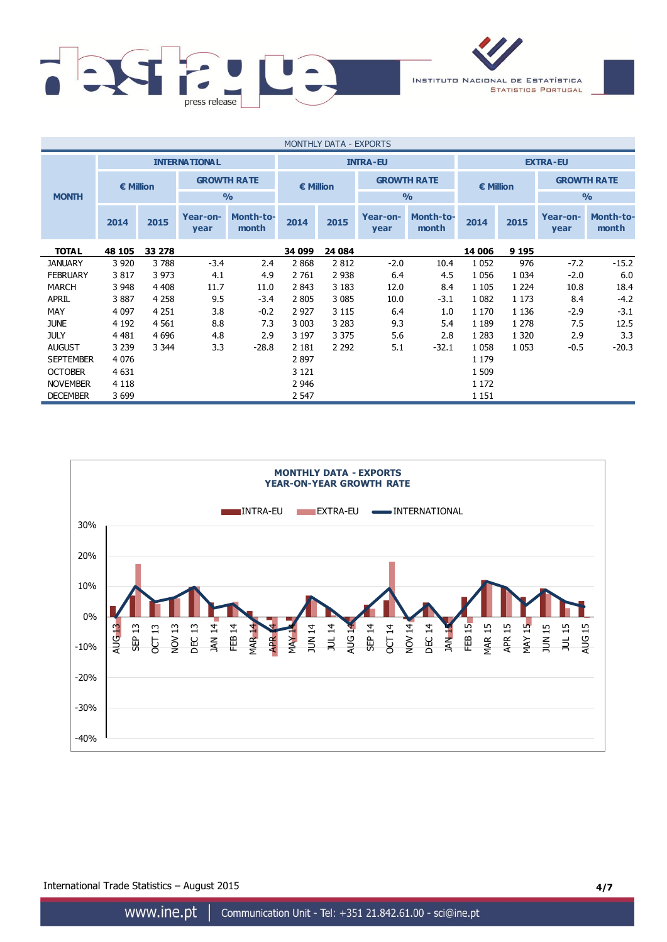

| MONTHLY DATA - EXPORTS |                      |                                 |                  |                    |                                        |         |                  |                           |         |                    |                  |                           |
|------------------------|----------------------|---------------------------------|------------------|--------------------|----------------------------------------|---------|------------------|---------------------------|---------|--------------------|------------------|---------------------------|
|                        | <b>INTERNATIONAL</b> |                                 |                  | <b>INTRA-EU</b>    |                                        |         |                  | <b>EXTRA-EU</b>           |         |                    |                  |                           |
|                        |                      | <b>GROWTH RATE</b><br>€ Million |                  |                    | <b>GROWTH RATE</b><br><b>€ Million</b> |         |                  | € Million                 |         | <b>GROWTH RATE</b> |                  |                           |
| <b>MONTH</b>           |                      |                                 |                  | O <sub>0</sub>     | $\frac{0}{0}$                          |         | $\frac{0}{0}$    |                           |         |                    |                  |                           |
|                        | 2014                 | 2015                            | Year-on-<br>year | Month-to-<br>month | 2014                                   | 2015    | Year-on-<br>year | <b>Month-to-</b><br>month | 2014    | 2015               | Year-on-<br>year | <b>Month-to-</b><br>month |
| <b>TOTAL</b>           | 48 105               | 33 278                          |                  |                    | 34 099                                 | 24 084  |                  |                           | 14 006  | 9 1 9 5            |                  |                           |
| <b>JANUARY</b>         | 3 9 2 0              | 3788                            | $-3.4$           | 2.4                | 2868                                   | 2 8 1 2 | $-2.0$           | 10.4                      | 1 0 5 2 | 976                | $-7.2$           | $-15.2$                   |
| <b>FEBRUARY</b>        | 3817                 | 3 9 7 3                         | 4.1              | 4.9                | 2 761                                  | 2 9 3 8 | 6.4              | 4.5                       | 1 0 5 6 | 1 0 3 4            | $-2.0$           | 6.0                       |
| <b>MARCH</b>           | 3 9 4 8              | 4 4 0 8                         | 11.7             | 11.0               | 2843                                   | 3 1 8 3 | 12.0             | 8.4                       | 1 1 0 5 | 1 2 2 4            | 10.8             | 18.4                      |
| <b>APRIL</b>           | 3887                 | 4 2 5 8                         | 9.5              | $-3.4$             | 2 8 0 5                                | 3 0 8 5 | 10.0             | $-3.1$                    | 1 0 8 2 | 1 1 7 3            | 8.4              | $-4.2$                    |
| MAY                    | 4 0 9 7              | 4 2 5 1                         | 3.8              | $-0.2$             | 2 9 2 7                                | 3 1 1 5 | 6.4              | 1.0                       | 1 1 7 0 | 1 1 3 6            | $-2.9$           | $-3.1$                    |
| <b>JUNE</b>            | 4 1 9 2              | 4 5 6 1                         | 8.8              | 7.3                | 3 0 0 3                                | 3 2 8 3 | 9.3              | 5.4                       | 1 1 8 9 | 1 2 7 8            | 7.5              | 12.5                      |
| <b>JULY</b>            | 4 4 8 1              | 4 6 9 6                         | 4.8              | 2.9                | 3 1 9 7                                | 3 3 7 5 | 5.6              | 2.8                       | 1 2 8 3 | 1 3 2 0            | 2.9              | 3.3                       |
| <b>AUGUST</b>          | 3 2 3 9              | 3 3 4 4                         | 3.3              | $-28.8$            | 2 1 8 1                                | 2 2 9 2 | 5.1              | $-32.1$                   | 1 0 5 8 | 1 0 5 3            | $-0.5$           | $-20.3$                   |
| <b>SEPTEMBER</b>       | 4 0 7 6              |                                 |                  |                    | 2897                                   |         |                  |                           | 1 1 7 9 |                    |                  |                           |
| <b>OCTOBER</b>         | 4 6 31               |                                 |                  |                    | 3 1 2 1                                |         |                  |                           | 1 509   |                    |                  |                           |
| <b>NOVEMBER</b>        | 4 1 1 8              |                                 |                  |                    | 2 9 4 6                                |         |                  |                           | 1 1 7 2 |                    |                  |                           |
| <b>DECEMBER</b>        | 3699                 |                                 |                  |                    | 2 5 4 7                                |         |                  |                           | 1 1 5 1 |                    |                  |                           |



International Trade Statistics – August 2015 **4/7**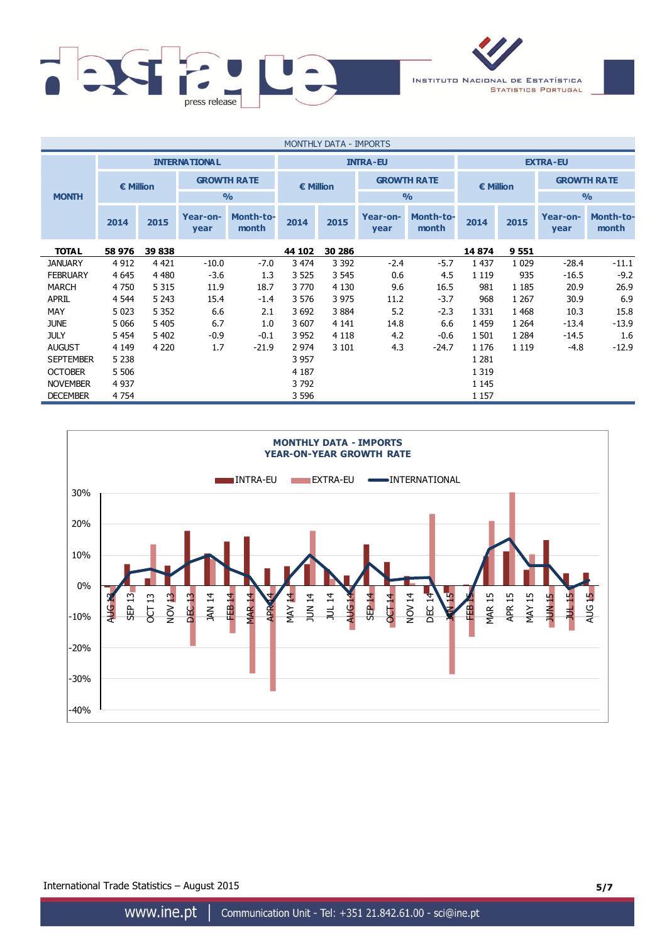

| MONTHLY DATA - IMPORTS |                      |         |                  |                           |                                                  |         |                  |                           |               |         |                    |                           |
|------------------------|----------------------|---------|------------------|---------------------------|--------------------------------------------------|---------|------------------|---------------------------|---------------|---------|--------------------|---------------------------|
|                        | <b>INTERNATIONAL</b> |         |                  | <b>INTRA-EU</b>           |                                                  |         |                  | <b>EXTRA-EU</b>           |               |         |                    |                           |
|                        | <b>€ Million</b>     |         |                  | <b>GROWTH RATE</b>        | <b>GROWTH RATE</b><br>€ Million<br>$\frac{0}{0}$ |         |                  |                           | € Million     |         | <b>GROWTH RATE</b> |                           |
| <b>MONTH</b>           |                      |         |                  | $\frac{0}{0}$             |                                                  |         |                  |                           | $\frac{0}{0}$ |         |                    |                           |
|                        | 2014                 | 2015    | Year-on-<br>year | <b>Month-to-</b><br>month | 2014                                             | 2015    | Year-on-<br>year | <b>Month-to-</b><br>month | 2014          | 2015    | Year-on-<br>year   | <b>Month-to-</b><br>month |
| <b>TOTAL</b>           | 58 976               | 39 838  |                  |                           | 44 102                                           | 30 286  |                  |                           | 14 874        | 9551    |                    |                           |
| <b>JANUARY</b>         | 4 9 12               | 4 4 2 1 | $-10.0$          | $-7.0$                    | 3 4 7 4                                          | 3 3 9 2 | $-2.4$           | $-5.7$                    | 1 4 3 7       | 1 0 2 9 | $-28.4$            | $-11.1$                   |
| <b>FEBRUARY</b>        | 4 6 4 5              | 4 4 8 0 | $-3.6$           | 1.3                       | 3 5 2 5                                          | 3 5 4 5 | 0.6              | 4.5                       | 1 1 1 9       | 935     | $-16.5$            | $-9.2$                    |
| MARCH                  | 4 7 5 0              | 5 3 1 5 | 11.9             | 18.7                      | 3 7 7 0                                          | 4 1 3 0 | 9.6              | 16.5                      | 981           | 1 1 8 5 | 20.9               | 26.9                      |
| <b>APRIL</b>           | 4 5 4 4              | 5 2 4 3 | 15.4             | $-1.4$                    | 3 5 7 6                                          | 3 9 7 5 | 11.2             | $-3.7$                    | 968           | 1 2 6 7 | 30.9               | 6.9                       |
| MAY                    | 5 0 23               | 5 3 5 2 | 6.6              | 2.1                       | 3 6 9 2                                          | 3 8 8 4 | 5.2              | $-2.3$                    | 1 3 3 1       | 1 4 6 8 | 10.3               | 15.8                      |
| <b>JUNE</b>            | 5 0 6 6              | 5 4 0 5 | 6.7              | 1.0                       | 3 607                                            | 4 1 4 1 | 14.8             | 6.6                       | 1459          | 1 2 6 4 | $-13.4$            | $-13.9$                   |
| <b>JULY</b>            | 5454                 | 5 4 0 2 | $-0.9$           | $-0.1$                    | 3 9 5 2                                          | 4 1 1 8 | 4.2              | $-0.6$                    | 1 501         | 1 2 8 4 | $-14.5$            | 1.6                       |
| <b>AUGUST</b>          | 4 1 4 9              | 4 2 2 0 | 1.7              | $-21.9$                   | 2 9 7 4                                          | 3 1 0 1 | 4.3              | $-24.7$                   | 1 1 7 6       | 1 1 1 9 | $-4.8$             | $-12.9$                   |
| <b>SEPTEMBER</b>       | 5 2 3 8              |         |                  |                           | 3 9 5 7                                          |         |                  |                           | 1 2 8 1       |         |                    |                           |
| <b>OCTOBER</b>         | 5 5 0 6              |         |                  |                           | 4 1 8 7                                          |         |                  |                           | 1 3 1 9       |         |                    |                           |
| <b>NOVEMBER</b>        | 4 9 3 7              |         |                  |                           | 3792                                             |         |                  |                           | 1 1 4 5       |         |                    |                           |
| <b>DECEMBER</b>        | 4 7 5 4              |         |                  |                           | 3 5 9 6                                          |         |                  |                           | 1 1 5 7       |         |                    |                           |



International Trade Statistics – August 2015 **5/7**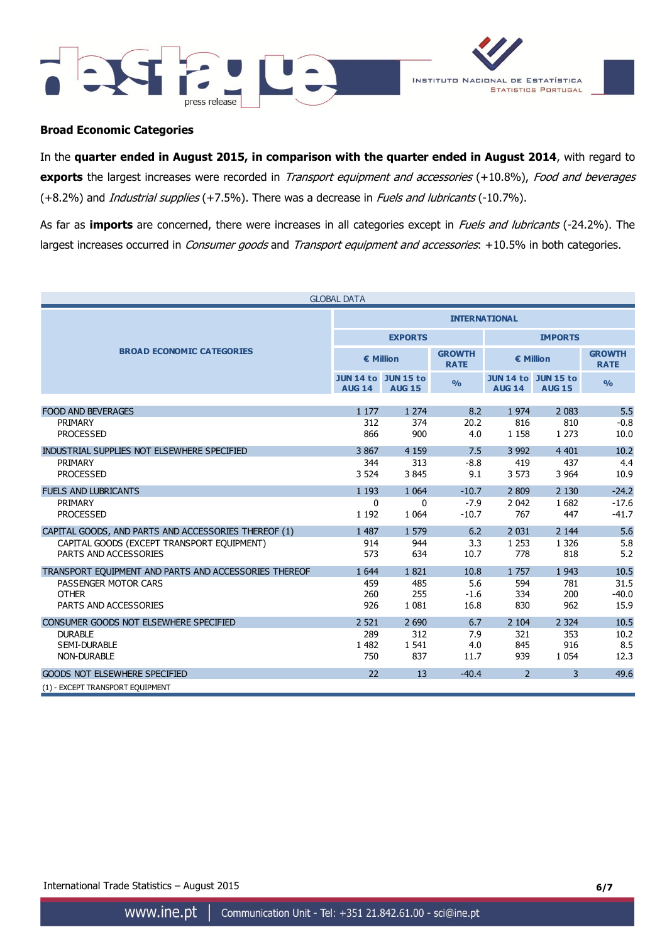



### **Broad Economic Categories**

In the **quarter ended in August 2015, in comparison with the quarter ended in August 2014**, with regard to **exports** the largest increases were recorded in *Transport equipment and accessories* (+10.8%), Food and beverages (+8.2%) and *Industrial supplies* (+7.5%). There was a decrease in *Fuels and lubricants* (-10.7%).

As far as **imports** are concerned, there were increases in all categories except in Fuels and lubricants (-24.2%). The largest increases occurred in *Consumer goods* and *Transport equipment and accessories*: +10.5% in both categories.

|                                                       | <b>GLOBAL DATA</b>                          |                |                              |                                             |               |                              |  |
|-------------------------------------------------------|---------------------------------------------|----------------|------------------------------|---------------------------------------------|---------------|------------------------------|--|
|                                                       | <b>INTERNATIONAL</b>                        |                |                              |                                             |               |                              |  |
|                                                       |                                             | <b>EXPORTS</b> |                              | <b>IMPORTS</b>                              |               |                              |  |
| <b>BROAD ECONOMIC CATEGORIES</b>                      | € Million                                   |                | <b>GROWTH</b><br><b>RATE</b> | € Million                                   |               | <b>GROWTH</b><br><b>RATE</b> |  |
|                                                       | <b>JUN 14 to JUN 15 to</b><br><b>AUG 14</b> | <b>AUG 15</b>  | O/2                          | <b>JUN 14 to JUN 15 to</b><br><b>AUG 14</b> | <b>AUG 15</b> | $\frac{0}{0}$                |  |
| <b>FOOD AND BEVERAGES</b>                             | 1 1 7 7                                     | 1 2 7 4        | 8.2                          | 1974                                        | 2 0 8 3       | 5.5                          |  |
| PRIMARY                                               | 312                                         | 374            | 20.2                         | 816                                         | 810           | $-0.8$                       |  |
| <b>PROCESSED</b>                                      | 866                                         | 900            | 4.0                          | 1 1 5 8                                     | 1 2 7 3       | 10.0                         |  |
| INDUSTRIAL SUPPLIES NOT ELSEWHERE SPECIFIED           | 3867                                        | 4 1 5 9        | 7.5                          | 3 9 9 2                                     | 4 4 0 1       | 10.2                         |  |
| PRIMARY                                               | 344                                         | 313            | $-8.8$                       | 419                                         | 437           | 4.4                          |  |
| <b>PROCESSED</b>                                      | 3 5 2 4                                     | 3845           | 9.1                          | 3 5 7 3                                     | 3 9 64        | 10.9                         |  |
| <b>FUELS AND LUBRICANTS</b>                           | 1 1 9 3                                     | 1 0 6 4        | $-10.7$                      | 2 8 0 9                                     | 2 1 3 0       | $-24.2$                      |  |
| PRIMARY                                               | $\Omega$                                    | $\Omega$       | $-7.9$                       | 2 0 4 2                                     | 1682          | $-17.6$                      |  |
| <b>PROCESSED</b>                                      | 1 1 9 2                                     | 1 0 6 4        | $-10.7$                      | 767                                         | 447           | $-41.7$                      |  |
| CAPITAL GOODS, AND PARTS AND ACCESSORIES THEREOF (1)  | 1 4 8 7                                     | 1 579          | 6.2                          | 2 0 3 1                                     | 2 1 4 4       | 5.6                          |  |
| CAPITAL GOODS (EXCEPT TRANSPORT EQUIPMENT)            | 914                                         | 944            | 3.3                          | 1 2 5 3                                     | 1 3 2 6       | 5.8                          |  |
| PARTS AND ACCESSORIES                                 | 573                                         | 634            | 10.7                         | 778                                         | 818           | 5.2                          |  |
| TRANSPORT EOUIPMENT AND PARTS AND ACCESSORIES THEREOF | 1 6 4 4                                     | 1821           | 10.8                         | 1757                                        | 1 9 4 3       | 10.5                         |  |
| PASSENGER MOTOR CARS                                  | 459                                         | 485            | 5.6                          | 594                                         | 781           | 31.5                         |  |
| <b>OTHER</b>                                          | 260                                         | 255            | $-1.6$                       | 334                                         | 200           | $-40.0$                      |  |
| PARTS AND ACCESSORIES                                 | 926                                         | 1 0 8 1        | 16.8                         | 830                                         | 962           | 15.9                         |  |
| CONSUMER GOODS NOT ELSEWHERE SPECIFIED                | 2 5 2 1                                     | 2 6 9 0        | 6.7                          | 2 104                                       | 2 3 2 4       | 10.5                         |  |
| <b>DURABLE</b>                                        | 289                                         | 312            | 7.9                          | 321                                         | 353           | 10.2                         |  |
| <b>SEMI-DURABLE</b>                                   | 1 4 8 2                                     | 1 5 4 1        | 4.0                          | 845                                         | 916           | 8.5                          |  |
| <b>NON-DURABLE</b>                                    | 750                                         | 837            | 11.7                         | 939                                         | 1 0 5 4       | 12.3                         |  |
| <b>GOODS NOT ELSEWHERE SPECIFIED</b>                  | 22                                          | 13             | $-40.4$                      | $\overline{2}$                              | 3             | 49.6                         |  |
| (1) - EXCEPT TRANSPORT EQUIPMENT                      |                                             |                |                              |                                             |               |                              |  |

International Trade Statistics – August 2015 **6/7**